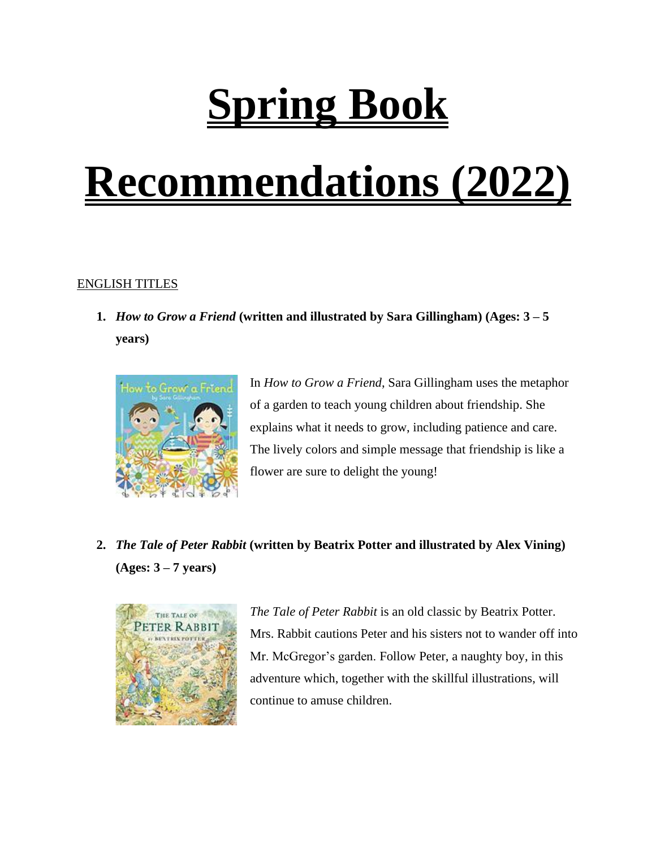## **Spring Book**

## **Recommendations (2022)**

## ENGLISH TITLES

**1.** *How to Grow a Friend* **(written and illustrated by Sara Gillingham) (Ages: 3 – 5 years)**



In *How to Grow a Friend*, Sara Gillingham uses the metaphor of a garden to teach young children about friendship. She explains what it needs to grow, including patience and care. The lively colors and simple message that friendship is like a flower are sure to delight the young!

**2.** *The Tale of Peter Rabbit* **(written by Beatrix Potter and illustrated by Alex Vining) (Ages: 3 – 7 years)**



*The Tale of Peter Rabbit* is an old classic by Beatrix Potter. Mrs. Rabbit cautions Peter and his sisters not to wander off into Mr. McGregor's garden. Follow Peter, a naughty boy, in this adventure which, together with the skillful illustrations, will continue to amuse children.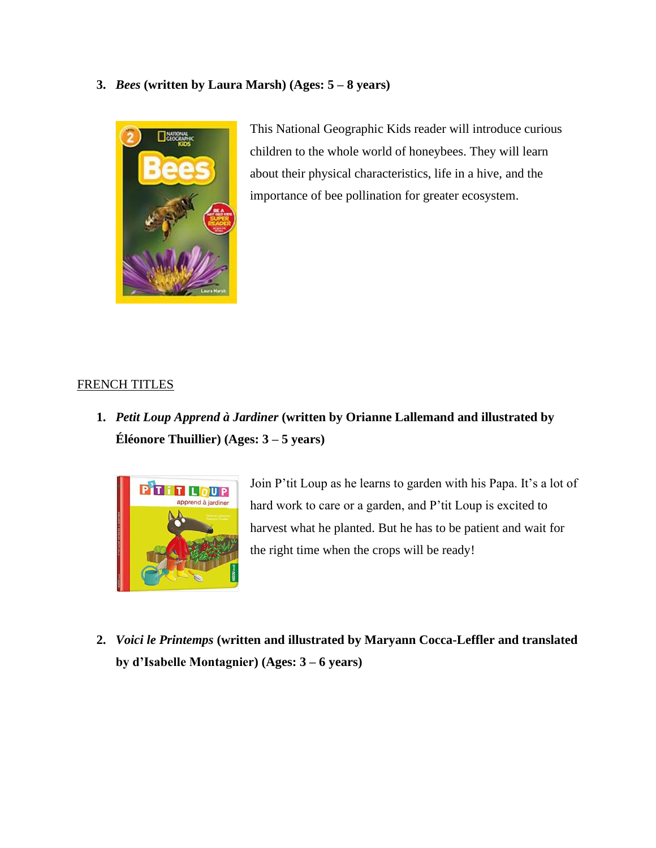**3.** *Bees* **(written by Laura Marsh) (Ages: 5 – 8 years)**



This National Geographic Kids reader will introduce curious children to the whole world of honeybees. They will learn about their physical characteristics, life in a hive, and the importance of bee pollination for greater ecosystem.

## FRENCH TITLES

**1.** *Petit Loup Apprend à Jardiner* **(written by Orianne Lallemand and illustrated by Éléonore Thuillier) (Ages: 3 – 5 years)**



Join P'tit Loup as he learns to garden with his Papa. It's a lot of hard work to care or a garden, and P'tit Loup is excited to harvest what he planted. But he has to be patient and wait for the right time when the crops will be ready!

**2.** *Voici le Printemps* **(written and illustrated by Maryann Cocca-Leffler and translated by d'Isabelle Montagnier) (Ages: 3 – 6 years)**